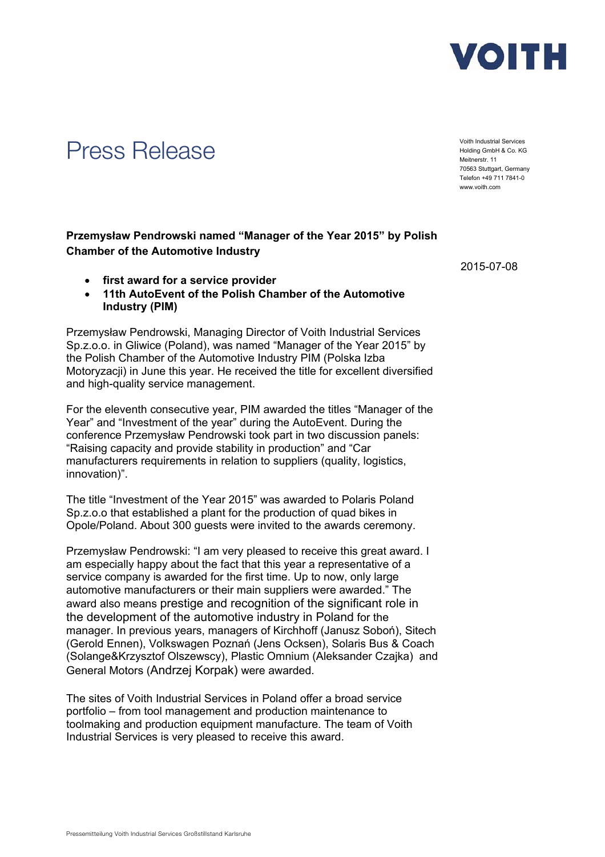

## Press Release Voith Industrial Services

Holding GmbH & Co. KG Meitnerstr. 11 70563 Stuttgart, Germany Telefon +49 711 7841-0 www.voith.com

**Przemysław Pendrowski named "Manager of the Year 2015" by Polish Chamber of the Automotive Industry** 

- **first award for a service provider**
- **11th AutoEvent of the Polish Chamber of the Automotive Industry (PIM)**

Przemysław Pendrowski, Managing Director of Voith Industrial Services Sp.z.o.o. in Gliwice (Poland), was named "Manager of the Year 2015" by the Polish Chamber of the Automotive Industry PIM (Polska Izba Motoryzacji) in June this year. He received the title for excellent diversified and high-quality service management.

For the eleventh consecutive year, PIM awarded the titles "Manager of the Year" and "Investment of the year" during the AutoEvent. During the conference Przemysław Pendrowski took part in two discussion panels: "Raising capacity and provide stability in production" and "Car manufacturers requirements in relation to suppliers (quality, logistics, innovation)".

The title "Investment of the Year 2015" was awarded to Polaris Poland Sp.z.o.o that established a plant for the production of quad bikes in Opole/Poland. About 300 guests were invited to the awards ceremony.

Przemysław Pendrowski: "I am very pleased to receive this great award. I am especially happy about the fact that this year a representative of a service company is awarded for the first time. Up to now, only large automotive manufacturers or their main suppliers were awarded." The award also means prestige and recognition of the significant role in the development of the automotive industry in Poland for the manager. In previous years, managers of Kirchhoff (Janusz Soboń), Sitech (Gerold Ennen), Volkswagen Poznań (Jens Ocksen), Solaris Bus & Coach (Solange&Krzysztof Olszewscy), Plastic Omnium (Aleksander Czajka) and General Motors (Andrzej Korpak) were awarded.

The sites of Voith Industrial Services in Poland offer a broad service portfolio – from tool management and production maintenance to toolmaking and production equipment manufacture. The team of Voith Industrial Services is very pleased to receive this award.

2015-07-08